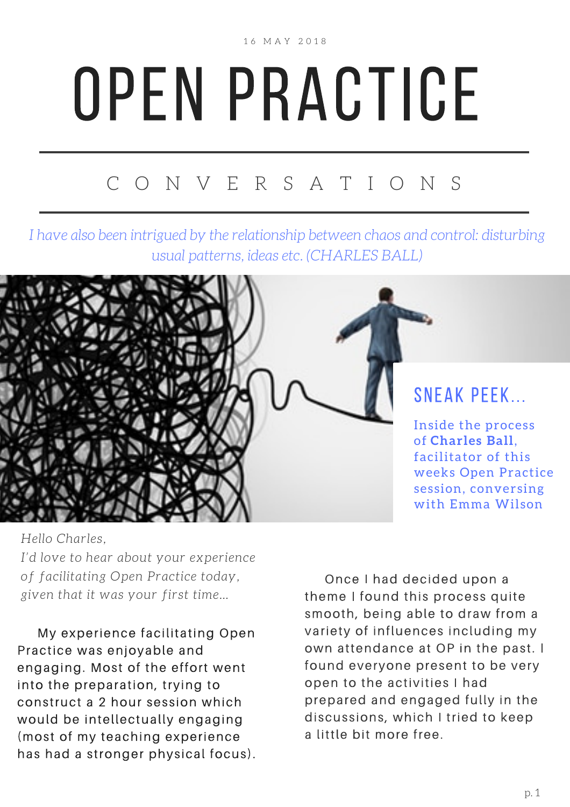1 6 M A Y 2 0 1 8

## OPEN PRACTICE

## C O N V E R S A T I O N S

*I have also been intrigued by the relationship between chaos and control: disturbing usual patterns, ideas etc. (CHARLES BALL)*



## *Hello Charles,*

*I'd love to hear about your experience of facilitating Open Practice today, given that it was your first time…*

My experience facilitating Open Practice was enjoyable and engaging. Most of the effort went into the preparation, trying to construct a 2 hour session which would be intellectually engaging (most of my teaching experience has had a stronger physical focus).

Once I had decided upon a theme I found this process quite smooth, being able to draw from a variety of influences including my own attendance at OP in the past. I found everyone present to be very open to the activities I had prepared and engaged fully in the discussions, which I tried to keep a little bit more free.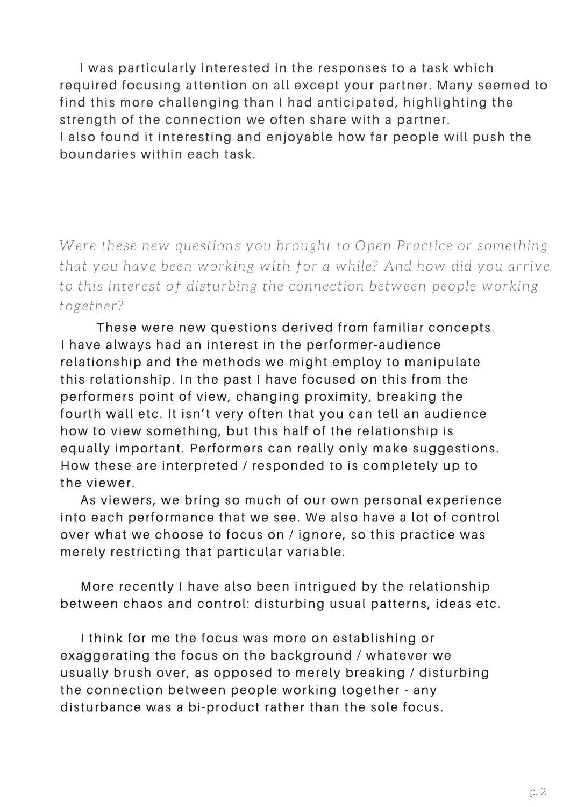I was particularly interested in the responses to a task which required focusing attention on all except your partner. Many seemed to find this more challenging than I had anticipated, highlighting the strength of the connection we often share with a partner. I also found it interesting and enjoyable how far people will push the boundaries within each task.

*Were these new questions you brought to Open Practice or something that you have been working with for a while? And how did you arrive to this interest of disturbing the connection between people working together?*

These were new questions derived from familiar concepts. I have always had an interest in the performer-audience relationship and the methods we might employ to manipulate this relationship. In the past I have focused on this from the performers point of view, changing proximity, breaking the fourth wall etc. It isn't very often that you can tell an audience how to view something, but this half of the relationship is equally important. Performers can really only make suggestions. How these are interpreted / responded to is completely up to the viewer.

As viewers, we bring so much of our own personal experience into each performance that we see. We also have a lot of control over what we choose to focus on / ignore, so this practice was merely restricting that particular variable.

More recently I have also been intrigued by the relationship between chaos and control: disturbing usual patterns, ideas etc.

I think for me the focus was more on establishing or exaggerating the focus on the background / whatever we usually brush over, as opposed to merely breaking / disturbing the connection between people working together - any disturbance was a bi-product rather than the sole focus.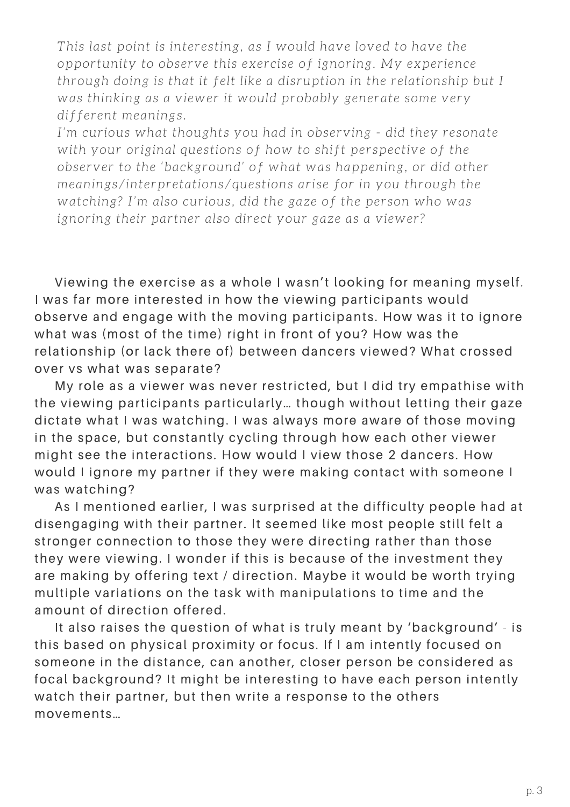*This last point is interesting, as I would have loved to have the opportunity to observe this exercise of ignoring. My experience through doing is that it felt like a disruption in the relationship but I was thinking as a viewer it would probably generate some very different meanings.*

*I'm curious what thoughts you had in observing - did they resonate with your original questions of how to shift perspective of the observer to the 'background' of what was happening, or did other meanings/interpretations/questions arise for in you through the watching? I'm also curious, did the gaze of the person who was ignoring their partner also direct your gaze as a viewer?*

Viewing the exercise as a whole I wasn't looking for meaning myself. I was far more interested in how the viewing participants would observe and engage with the moving participants. How was it to ignore what was (most of the time) right in front of you? How was the relationship (or lack there of) between dancers viewed? What crossed over vs what was separate?

My role as a viewer was never restricted, but I did try empathise with the viewing participants particularly... though without letting their gaze dictate what I was watching. I was always more aware of those moving in the space, but constantly cycling through how each other viewer might see the interactions. How would I view those 2 dancers. How would I ignore my partner if they were making contact with someone I was watching?

As I mentioned earlier, I was surprised at the difficulty people had at disengaging with their partner. It seemed like most people still felt a stronger connection to those they were directing rather than those they were viewing. I wonder if this is because of the investment they are making by offering text / direction. Maybe it would be worth trying multiple variations on the task with manipulations to time and the amount of direction offered.

It also raises the question of what is truly meant by 'background' - is this based on physical proximity or focus. If I am intently focused on someone in the distance, can another, closer person be considered as focal background? It might be interesting to have each person intently watch their partner, but then write a response to the others movements...